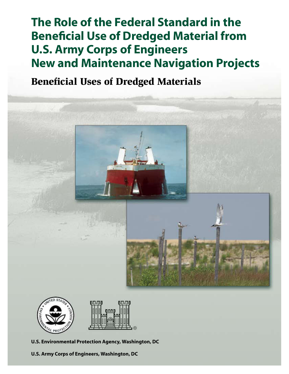# **The Role of the Federal Standard in the Beneficial Use of Dredged Material from U.S. Army Corps of Engineers New and Maintenance Navigation Projects**

## Beneficial Uses of Dredged Materials





**U.S. Environmental Protection Agency, Washington, DC**

**U.S. Army Corps of Engineers, Washington, DC**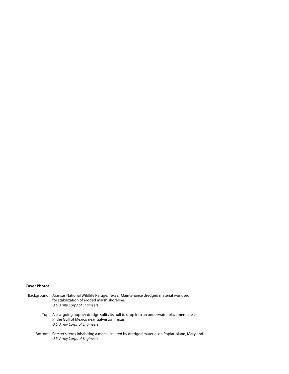#### **Cover Photos**

- Background: Aransas National Wildlife Refuge, Texas. Maintenance dredged material was used for stabilization of eroded marsh shoreline. *U.S. Army Corps of Engineers*
	- Top: A sea-going hopper dredge splits its hull to drop into an underwater placement area in the Gulf of Mexico near Galveston, Texas. *U.S. Army Corps of Engineers*
	- Bottom: Forster's terns inhabiting a marsh created by dredged material on Poplar Island, Maryland. *U.S. Army Corps of Engineers*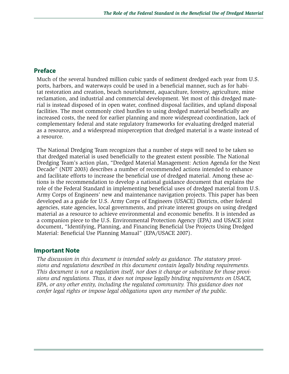## **Preface**

Much of the several hundred million cubic yards of sediment dredged each year from U.S. ports, harbors, and waterways could be used in a beneficial manner, such as for habitat restoration and creation, beach nourishment, aquaculture, forestry, agriculture, mine reclamation, and industrial and commercial development. Yet most of this dredged material is instead disposed of in open water, confined disposal facilities, and upland disposal facilities. The most commonly cited hurdles to using dredged material beneficially are increased costs, the need for earlier planning and more widespread coordination, lack of complementary federal and state regulatory frameworks for evaluating dredged material as a resource, and a widespread misperception that dredged material is a waste instead of a resource.

The National Dredging Team recognizes that a number of steps will need to be taken so that dredged material is used beneficially to the greatest extent possible. The National Dredging Team's action plan, "Dredged Material Management: Action Agenda for the Next Decade" (NDT 2003) describes a number of recommended actions intended to enhance and facilitate efforts to increase the beneficial use of dredged material. Among these actions is the recommendation to develop a national guidance document that explains the role of the Federal Standard in implementing beneficial uses of dredged material from U.S. Army Corps of Engineers' new and maintenance navigation projects. This paper has been developed as a guide for U.S. Army Corps of Engineers (USACE) Districts, other federal agencies, state agencies, local governments, and private interest groups on using dredged material as a resource to achieve environmental and economic benefits. It is intended as a companion piece to the U.S. Environmental Protection Agency (EPA) and USACE joint document, "Identifying, Planning, and Financing Beneficial Use Projects Using Dredged Material: Beneficial Use Planning Manual" (EPA/USACE 2007).

## **Important Note**

*The discussion in this document is intended solely as guidance. The statutory provisions and regulations described in this document contain legally binding requirements. This document is not a regulation itself, nor does it change or substitute for those provisions and regulations. Thus, it does not impose legally binding requirements on USACE, EPA, or any other entity, including the regulated community. This guidance does not confer legal rights or impose legal obligations upon any member of the public.*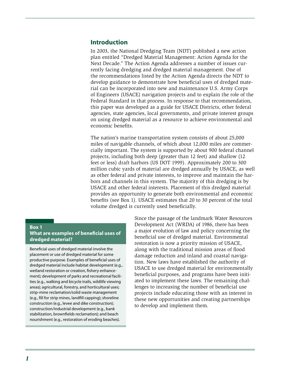### **Introduction**

In 2003, the National Dredging Team (NDT) published a new action plan entitled "Dredged Material Management: Action Agenda for the Next Decade." The Action Agenda addresses a number of issues currently facing dredging and dredged material management. One of the recommendations listed by the Action Agenda directs the NDT to develop guidance to demonstrate how beneficial uses of dredged material can be incorporated into new and maintenance U.S. Army Corps of Engineers (USACE) navigation projects and to explain the role of the Federal Standard in that process. In response to that recommendation, this paper was developed as a guide for USACE Districts, other federal agencies, state agencies, local governments, and private interest groups on using dredged material as a resource to achieve environmental and economic benefits.

The nation's marine transportation system consists of about 25,000 miles of navigable channels, of which about 12,000 miles are commercially important. The system is supported by about 900 federal channel projects, including both deep (greater than 12 feet) and shallow (12 feet or less) draft harbors (US DOT 1999). Approximately 200 to 300 million cubic yards of material are dredged annually by USACE, as well as other federal and private interests, to improve and maintain the harbors and channels in this system. The majority of this dredging is by USACE and other federal interests. Placement of this dredged material provides an opportunity to generate both environmental and economic benefits (see Box 1). USACE estimates that 20 to 30 percent of the total volume dredged is currently used beneficially.

#### **Box 1**

**What are examples of beneficial uses of dredged material?**

Beneficial uses of dredged material involve the placement or use of dredged material for some productive purpose. Examples of beneficial uses of dredged material include habitat development (e.g., wetland restoration or creation, fishery enhancement); development of parks and recreational facilities (e.g., walking and bicycle trails, wildlife viewing areas); agricultural, forestry, and horticultural uses; strip-mine reclamation/solid waste management (e.g., fill for strip mines, landfill capping); shoreline construction (e.g., levee and dike construction); construction/industrial development (e.g., bank stabilization, brownfields reclamation); and beach nourishment (e.g., restoration of eroding beaches).

Since the passage of the landmark Water Resources Development Act (WRDA) of 1986, there has been a major evolution of law and policy concerning the beneficial use of dredged material. Environmental restoration is now a priority mission of USACE, along with the traditional mission areas of flood damage reduction and inland and coastal navigation. New laws have established the authority of USACE to use dredged material for environmentally beneficial purposes, and programs have been initiated to implement these laws. The remaining challenges to increasing the number of beneficial use projects include educating those with an interest in these new opportunities and creating partnerships to develop and implement them.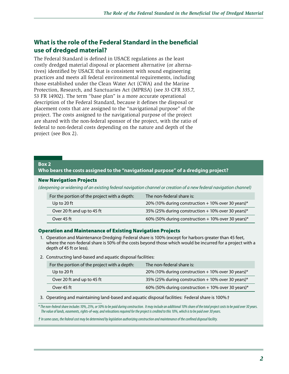## **What is the role of the Federal Standard in the beneficial use of dredged material?**

The Federal Standard is defined in USACE regulations as the least costly dredged material disposal or placement alternative (or alternatives) identified by USACE that is consistent with sound engineering practices and meets all federal environmental requirements, including those established under the Clean Water Act (CWA) and the Marine Protection, Research, and Sanctuaries Act (MPRSA) (see 33 CFR 335.7, 53 FR 14902). The term "base plan" is a more accurate operational description of the Federal Standard, because it defines the disposal or placement costs that are assigned to the "navigational purpose" of the project. The costs assigned to the navigational purpose of the project are shared with the non-federal sponsor of the project, with the ratio of federal to non-federal costs depending on the nature and depth of the project (see Box 2).

#### **Box 2**

#### **Who bears the costs assigned to the "navigational purpose" of a dredging project?**

#### New Navigation Projects

*(deepening or widening of an existing federal navigation channel or creation of a new federal navigation channel)*

| For the portion of the project with a depth: | The non-federal share is:                            |
|----------------------------------------------|------------------------------------------------------|
| Up to 20 ft                                  | 20% (10% during construction + 10% over 30 years)*   |
| Over 20 ft and up to 45 ft                   | 35% (25% during construction $+$ 10% over 30 years)* |
| Over 45 ft                                   | 60% (50% during construction + 10% over 30 years)*   |

#### Operation and Maintenance of Existing Navigation Projects

- 1. Operation and Maintenance Dredging: Federal share is 100% (except for harbors greater than 45 feet, where the non-federal share is 50% of the costs beyond those which would be incurred for a project with a depth of 45 ft or less).
- 2. Constructing land-based and aquatic disposal facilities:

| For the portion of the project with a depth: | The non-federal share is:                          |
|----------------------------------------------|----------------------------------------------------|
| Up to 20 ft                                  | 20% (10% during construction + 10% over 30 years)* |
| Over 20 ft and up to 45 ft                   | 35% (25% during construction + 10% over 30 years)* |
| Over 45 ft                                   | 60% (50% during construction + 10% over 30 years)* |

3. Operating and maintaining land-based and aquatic disposal facilities: Federal share is 100%.†

*\* The non-federal share includes 10%, 25%, or 50% to be paid during construction. It may include an additional 10% share of the total project costs to be paid over 30 years. The value of lands, easements, rights-of-way, and relocations required for the project is credited to this 10%, which is to be paid over 30 years.*

*† In some cases, the federal cost may be determined by legislation authorizing construction and maintenance of the confined disposal facility.*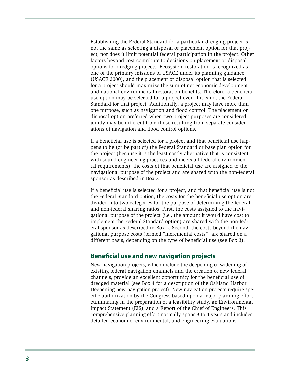Establishing the Federal Standard for a particular dredging project is not the same as selecting a disposal or placement option for that project, nor does it limit potential federal participation in the project. Other factors beyond cost contribute to decisions on placement or disposal options for dredging projects. Ecosystem restoration is recognized as one of the primary missions of USACE under its planning guidance (USACE 2000), and the placement or disposal option that is selected for a project should maximize the sum of net economic development and national environmental restoration benefits. Therefore, a beneficial use option may be selected for a project even if it is not the Federal Standard for that project. Additionally, a project may have more than one purpose, such as navigation and flood control. The placement or disposal option preferred when two project purposes are considered jointly may be different from those resulting from separate considerations of navigation and flood control options.

If a beneficial use is selected for a project and that beneficial use happens to be (or be part of) the Federal Standard or base plan option for the project (because it is the least costly alternative that is consistent with sound engineering practices and meets all federal environmental requirements), the costs of that beneficial use are assigned to the navigational purpose of the project and are shared with the non-federal sponsor as described in Box 2.

If a beneficial use is selected for a project, and that beneficial use is not the Federal Standard option, the costs for the beneficial use option are divided into two categories for the purpose of determining the federal and non-federal sharing ratios. First, the costs assigned to the navigational purpose of the project (i.e., the amount it would have cost to implement the Federal Standard option) are shared with the non-federal sponsor as described in Box 2. Second, the costs beyond the navigational purpose costs (termed "incremental costs") are shared on a different basis, depending on the type of beneficial use (see Box 3).

## **Beneficial use and new navigation projects**

New navigation projects, which include the deepening or widening of existing federal navigation channels and the creation of new federal channels, provide an excellent opportunity for the beneficial use of dredged material (see Box 4 for a description of the Oakland Harbor Deepening new navigation project). New navigation projects require specific authorization by the Congress based upon a major planning effort culminating in the preparation of a feasibility study, an Environmental Impact Statement (EIS), and a Report of the Chief of Engineers. This comprehensive planning effort normally spans 3 to 4 years and includes detailed economic, environmental, and engineering evaluations.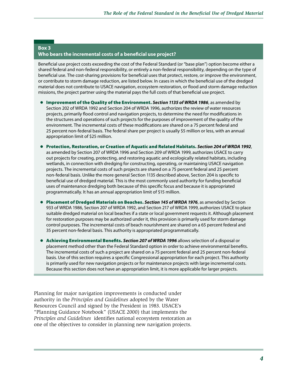#### **Box 3 Who bears the incremental costs of a beneficial use project?**

Beneficial use project costs exceeding the cost of the Federal Standard (or "base plan") option become either a shared federal and non-federal responsibility, or entirely a non-federal responsibility, depending on the type of beneficial use. The cost-sharing provisions for beneficial uses that protect, restore, or improve the environment, or contribute to storm damage reduction, are listed below. In cases in which the beneficial use of the dredged material does not contribute to USACE navigation, ecosystem restoration, or flood and storm damage reduction missions, the project partner using the material pays the full costs of that beneficial use project.

- Improvement of the Quality of the Environment. *Section 1135 of WRDA 1986*, as amended by Section 202 of WRDA 1992 and Section 204 of WRDA 1996, authorizes the review of water resources projects, primarily flood control and navigation projects, to determine the need for modifications in the structures and operations of such projects for the purposes of improvement of the quality of the environment. The incremental costs of these modifications are shared on a 75 percent federal and 25 percent non-federal basis. The federal share per project is usually \$5 million or less, with an annual appropriation limit of \$25 million.
- Protection, Restoration, or Creation of Aquatic and Related Habitats. *Section 204 of WRDA 1992*, as amended by Section 207 of WRDA 1996 and Section 209 of WRDA 1999, authorizes USACE to carry out projects for creating, protecting, and restoring aquatic and ecologically related habitats, including wetlands, in connection with dredging for constructing, operating, or maintaining USACE navigation projects. The incremental costs of such projects are shared on a 75 percent federal and 25 percent non-federal basis. Unlike the more general Section 1135 described above, Section 204 is specific to beneficial use of dredged material. This is the most commonly used authority for funding beneficial uses of maintenance dredging both because of this specific focus and because it is appropriated programmatically. It has an annual appropriation limit of \$15 million.
- Placement of Dredged Materials on Beaches. *Section 145 of WRDA 1976*, as amended by Section 933 of WRDA 1986, Section 207 of WRDA 1992, and Section 217 of WRDA 1999, authorizes USACE to place suitable dredged material on local beaches if a state or local government requests it. Although placement for restoration purposes may be authorized under it, this provision is primarily used for storm damage control purposes. The incremental costs of beach nourishment are shared on a 65 percent federal and 35 percent non-federal basis. This authority is appropriated programmatically.
- Achieving Environmental Benefits. *Section 207 of WRDA 1996* allows selection of a disposal or placement method other than the Federal Standard option in order to achieve environmental benefits. The incremental costs of such a project are shared on a 75 percent federal and 25 percent non-federal basis. Use of this section requires a specific Congressional appropriation for each project. This authority is primarily used for new navigation projects or for maintenance projects with large incremental costs. Because this section does not have an appropriation limit, it is more applicable for larger projects.

Planning for major navigation improvements is conducted under authority in the *Principles and Guidelines* adopted by the Water Resources Council and signed by the President in 1983. USACE's "Planning Guidance Notebook" (USACE 2000) that implements the *Principles and Guidelines* identifies national ecosystem restoration as one of the objectives to consider in planning new navigation projects.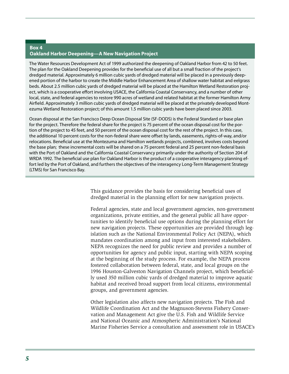#### **Box 4 Oakland Harbor Deepening—A New Navigation Project**

The Water Resources Development Act of 1999 authorized the deepening of Oakland Harbor from 42 to 50 feet. The plan for the Oakland Deepening provides for the beneficial use of all but a small fraction of the project's dredged material. Approximately 6 million cubic yards of dredged material will be placed in a previously deepened portion of the harbor to create the Middle Harbor Enhancement Area of shallow water habitat and eelgrass beds. About 2.5 million cubic yards of dredged material will be placed at the Hamilton Wetland Restoration project, which is a cooperative effort involving USACE, the California Coastal Conservancy, and a number of other local, state, and federal agencies to restore 990 acres of wetland and related habitat at the former Hamilton Army Airfield. Approximately 3 million cubic yards of dredged material will be placed at the privately developed Montezuma Wetland Restoration project; of this amount 1.5 million cubic yards have been placed since 2003.

Ocean disposal at the San Francisco Deep Ocean Disposal Site (SF-DODS) is the Federal Standard or base plan for the project. Therefore the federal share for the project is 75 percent of the ocean disposal cost for the portion of the project to 45 feet, and 50 percent of the ocean disposal cost for the rest of the project. In this case, the additional 10 percent costs for the non-federal share were offset by lands, easements, rights-of-way, and/or relocations. Beneficial use at the Montezuma and Hamilton wetlands projects, combined, involves costs beyond the base plan; these incremental costs will be shared on a 75 percent federal and 25 percent non-federal basis with the Port of Oakland and the California Coastal Conservancy primarily under the authority of Section 204 of WRDA 1992. The beneficial use plan for Oakland Harbor is the product of a cooperative interagency planning effort led by the Port of Oakland, and furthers the objectives of the interagency Long-Term Management Strategy (LTMS) for San Francisco Bay.

> This guidance provides the basis for considering beneficial uses of dredged material in the planning effort for new navigation projects.

Federal agencies, state and local government agencies, non-government organizations, private entities, and the general public all have opportunities to identify beneficial use options during the planning effort for new navigation projects. These opportunities are provided through legislation such as the National Environmental Policy Act (NEPA), which mandates coordination among and input from interested stakeholders. NEPA recognizes the need for public review and provides a number of opportunities for agency and public input, starting with NEPA scoping at the beginning of the study process. For example, the NEPA process fostered collaboration between federal, state, and local groups on the 1996 Houston-Galveston Navigation Channels project, which beneficially used 350 million cubic yards of dredged material to improve aquatic habitat and received broad support from local citizens, environmental groups, and government agencies.

Other legislation also affects new navigation projects. The Fish and Wildlife Coordination Act and the Magnuson-Stevens Fishery Conservation and Management Act give the U.S. Fish and Wildlife Service and National Oceanic and Atmospheric Administration's National Marine Fisheries Service a consultation and assessment role in USACE's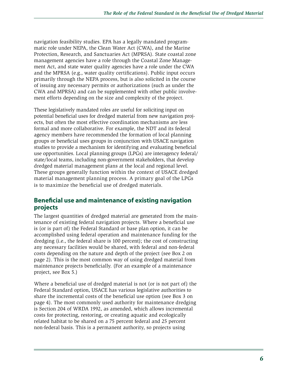navigation feasibility studies. EPA has a legally mandated programmatic role under NEPA, the Clean Water Act (CWA), and the Marine Protection, Research, and Sanctuaries Act (MPRSA). State coastal zone management agencies have a role through the Coastal Zone Management Act, and state water quality agencies have a role under the CWA and the MPRSA (e.g., water quality certifications). Public input occurs primarily through the NEPA process, but is also solicited in the course of issuing any necessary permits or authorizations (such as under the CWA and MPRSA) and can be supplemented with other public involvement efforts depending on the size and complexity of the project.

These legislatively mandated roles are useful for soliciting input on potential beneficial uses for dredged material from new navigation projects, but often the most effective coordination mechanisms are less formal and more collaborative. For example, the NDT and its federal agency members have recommended the formation of local planning groups or beneficial uses groups in conjunction with USACE navigation studies to provide a mechanism for identifying and evaluating beneficial use opportunities. Local planning groups (LPGs) are interagency federal/ state/local teams, including non-government stakeholders, that develop dredged material management plans at the local and regional level. These groups generally function within the context of USACE dredged material management planning process. A primary goal of the LPGs is to maximize the beneficial use of dredged materials.

## **Beneficial use and maintenance of existing navigation projects**

The largest quantities of dredged material are generated from the maintenance of existing federal navigation projects. Where a beneficial use is (or is part of) the Federal Standard or base plan option, it can be accomplished using federal operation and maintenance funding for the dredging (i.e., the federal share is 100 percent); the cost of constructing any necessary facilities would be shared, with federal and non-federal costs depending on the nature and depth of the project (see Box 2 on page 2). This is the most common way of using dredged material from maintenance projects beneficially. (For an example of a maintenance project, see Box 5.)

Where a beneficial use of dredged material is not (or is not part of) the Federal Standard option, USACE has various legislative authorities to share the incremental costs of the beneficial use option (see Box 3 on page 4). The most commonly used authority for maintenance dredging is Section 204 of WRDA 1992, as amended, which allows incremental costs for protecting, restoring, or creating aquatic and ecologically related habitat to be shared on a 75 percent federal and 25 percent non-federal basis. This is a permanent authority, so projects using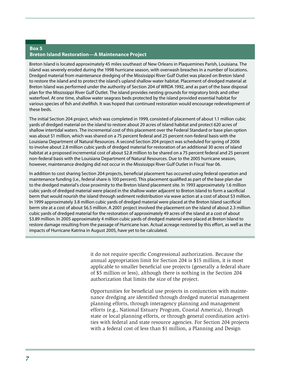#### **Box 5 Breton Island Restoration—A Maintenance Project**

Breton Island is located approximately 45 miles southeast of New Orleans in Plaquemines Parish, Louisiana. The island was severely eroded during the 1998 hurricane season, with overwash breaches in a number of locations. Dredged material from maintenance dredging of the Mississippi River Gulf Outlet was placed on Breton Island to restore the island and to protect the island's upland shallow water habitat. Placement of dredged material at Breton Island was performed under the authority of Section 204 of WRDA 1992, and as part of the base disposal plan for the Mississippi River Gulf Outlet. The island provides nesting grounds for migratory birds and other waterfowl. At one time, shallow water seagrass beds protected by the island provided essential habitat for various species of fish and shellfish. It was hoped that continued restoration would encourage redevelopment of these beds.

The initial Section 204 project, which was completed in 1999, consisted of placement of about 1.1 million cubic yards of dredged material on the island to restore about 29 acres of island habitat and protect 620 acres of shallow intertidal waters. The incremental cost of this placement over the Federal Standard or base plan option was about \$1 million, which was shared on a 75 percent federal and 25 percent non-federal basis with the Louisiana Department of Natural Resources. A second Section 204 project was scheduled for spring of 2006 to involve about 2.8 million cubic yards of dredged material for restoration of an additional 30 acres of island habitat at a proposed incremental cost of about \$2.8 million to be shared on a 75 percent federal and 25 percent non-federal basis with the Louisiana Department of Natural Resources. Due to the 2005 hurricane season, however, maintenance dredging did not occur in the Mississippi River Gulf Outlet in Fiscal Year 06.

In addition to cost sharing Section 204 projects, beneficial placement has occurred using federal operation and maintenance funding (i.e., federal share is 100 percent). This placement qualified as part of the base plan due to the dredged material's close proximity to the Breton Island placement site. In 1993 approximately 1.6 million cubic yards of dredged material were placed in the shallow water adjacent to Breton Island to form a sacrificial berm that would nourish the island through sediment redistribution via wave action at a cost of about \$3 million. In 1999 approximately 3.8 million cubic yards of dredged material were placed at the Breton Island sacrificial berm site at a cost of about \$6.5 million. A 2001 project involved the placement on the island of about 2.3 million cubic yards of dredged material for the restoration of approximately 49 acres of the island at a cost of about \$3.89 million. In 2005 approximately 4 million cubic yards of dredged material were placed at Breton Island to restore damage resulting from the passage of Hurricane Ivan. Actual acreage restored by this effort, as well as the impacts of Hurricane Katrina in August 2005, have yet to be calculated.

> it do not require specific Congressional authorization. Because the annual appropriation limit for Section 204 is \$15 million, it is most applicable to smaller beneficial use projects (generally a federal share of \$5 million or less), although there is nothing in the Section 204 authorization that limits the size of the project.

> Opportunities for beneficial use projects in conjunction with maintenance dredging are identified through dredged material management planning efforts, through interagency planning and management efforts (e.g., National Estuary Program, Coastal America), through state or local planning efforts, or through general coordination activities with federal and state resource agencies. For Section 204 projects with a federal cost of less than \$1 million, a Planning and Design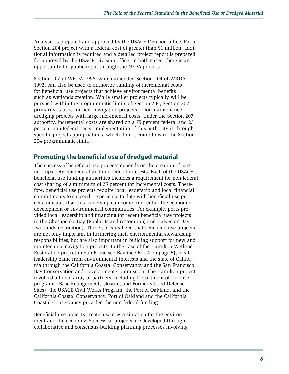Analysis is prepared and approved by the USACE Division office. For a Section 204 project with a federal cost of greater than \$1 million, additional information is required and a detailed project report is prepared for approval by the USACE Division office. In both cases, there is an opportunity for public input through the NEPA process.

Section 207 of WRDA 1996, which amended Section 204 of WRDA 1992, can also be used to authorize funding of incremental costs for beneficial use projects that achieve environmental benefits such as wetlands creation. While smaller projects typically will be pursued within the programmatic limits of Section 204, Section 207 primarily is used for new navigation projects or for maintenance dredging projects with large incremental costs. Under the Section 207 authority, incremental costs are shared on a 75 percent federal and 25 percent non-federal basis. Implementation of this authority is through specific project appropriations, which do not count toward the Section 204 programmatic limit.

## **Promoting the beneficial use of dredged material**

The success of beneficial use projects depends on the creation of partnerships between federal and non-federal interests. Each of the USACE's beneficial use funding authorities includes a requirement for non-federal cost sharing of a minimum of 25 percent for incremental costs. Therefore, beneficial use projects require local leadership and local financial commitments to succeed. Experience to date with beneficial use projects indicates that this leadership can come from either the economic development or environmental communities. For example, ports provided local leadership and financing for recent beneficial use projects in the Chesapeake Bay (Poplar Island restoration) and Galveston Bay (wetlands restoration). These ports realized that beneficial use projects are not only important in furthering their environmental stewardship responsibilities, but are also important in building support for new and maintenance navigation projects. In the case of the Hamilton Wetland Restoration project in San Francisco Bay (see Box 4 on page 5), local leadership came from environmental interests and the state of California through the California Coastal Conservancy and the San Francisco Bay Conservation and Development Commission. The Hamilton project involved a broad array of partners, including Department of Defense programs (Base Realignment, Closure, and Formerly-Used Defense Sites), the USACE Civil Works Program, the Port of Oakland, and the California Coastal Conservancy. Port of Oakland and the California Coastal Conservancy provided the non-federal funding.

Beneficial use projects create a win-win situation for the environment and the economy. Successful projects are developed through collaborative and consensus-building planning processes involving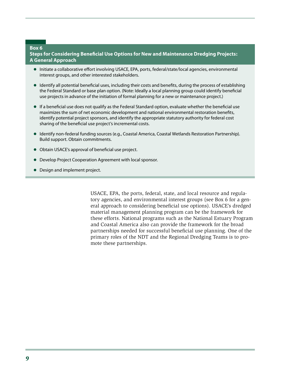#### **Box 6**

**Steps for Considering Beneficial Use Options for New and Maintenance Dredging Projects: A General Approach**

- Initiate a collaborative effort involving USACE, EPA, ports, federal/state/local agencies, environmental interest groups, and other interested stakeholders.
- Identify all potential beneficial uses, including their costs and benefits, during the process of establishing the Federal Standard or base plan option. (Note: Ideally a local planning group could identify beneficial use projects in advance of the initiation of formal planning for a new or maintenance project.)
- If a beneficial use does not qualify as the Federal Standard option, evaluate whether the beneficial use maximizes the sum of net economic development and national environmental restoration benefits, identify potential project sponsors, and identify the appropriate statutory authority for federal cost sharing of the beneficial use project's incremental costs.
- Identify non-federal funding sources (e.g., Coastal America, Coastal Wetlands Restoration Partnership). Build support. Obtain commitments.
- Obtain USACE's approval of beneficial use project.
- Develop Project Cooperation Agreement with local sponsor.
- Design and implement project.

USACE, EPA, the ports, federal, state, and local resource and regulatory agencies, and environmental interest groups (see Box 6 for a general approach to considering beneficial use options). USACE's dredged material management planning program can be the framework for these efforts. National programs such as the National Estuary Program and Coastal America also can provide the framework for the broad partnerships needed for successful beneficial use planning. One of the primary roles of the NDT and the Regional Dredging Teams is to promote these partnerships.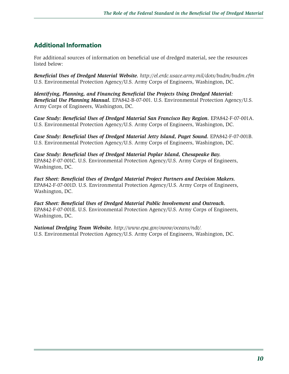## **Additional Information**

For additional sources of information on beneficial use of dredged material, see the resources listed below:

*Beneficial Uses of Dredged Material Website. http://el.erdc.usace.army.mil/dots/budm/budm.cfm* U.S. Environmental Protection Agency/U.S. Army Corps of Engineers, Washington, DC.

*Identifying, Planning, and Financing Beneficial Use Projects Using Dredged Material: Beneficial Use Planning Manual.* EPA842-B-07-001. U.S. Environmental Protection Agency/U.S. Army Corps of Engineers, Washington, DC.

*Case Study: Beneficial Uses of Dredged Material San Francisco Bay Region.* EPA842-F-07-001A. U.S. Environmental Protection Agency/U.S. Army Corps of Engineers, Washington, DC.

*Case Study: Beneficial Uses of Dredged Material Jetty Island, Puget Sound.* EPA842-F-07-001B. U.S. Environmental Protection Agency/U.S. Army Corps of Engineers, Washington, DC.

*Case Study: Beneficial Uses of Dredged Material Poplar Island, Chesapeake Bay.* EPA842-F-07-001C. U.S. Environmental Protection Agency/U.S. Army Corps of Engineers, Washington, DC.

*Fact Sheet: Beneficial Uses of Dredged Material Project Partners and Decision Makers.*  EPA842-F-07-001D. U.S. Environmental Protection Agency/U.S. Army Corps of Engineers, Washington, DC.

*Fact Sheet: Beneficial Uses of Dredged Material Public Involvement and Outreach.*  EPA842-F-07-001E. U.S. Environmental Protection Agency/U.S. Army Corps of Engineers, Washington, DC.

*National Dredging Team Website. http://www.epa.gov/owow/oceans/ndt/.* U.S. Environmental Protection Agency/U.S. Army Corps of Engineers, Washington, DC.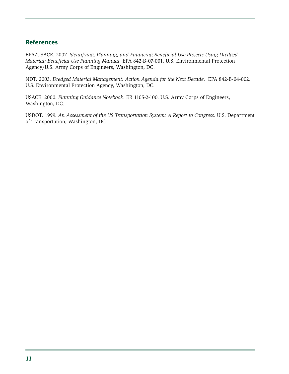## **References**

EPA/USACE. 2007. *Identifying, Planning, and Financing Beneficial Use Projects Using Dredged Material: Beneficial Use Planning Manual.* EPA 842-B-07-001. U.S. Environmental Protection Agency/U.S. Army Corps of Engineers, Washington, DC.

NDT. 2003. *Dredged Material Management: Action Agenda for the Next Decade*. EPA 842-B-04-002. U.S. Environmental Protection Agency, Washington, DC.

USACE. 2000. *Planning Guidance Notebook*. ER 1105-2-100. U.S. Army Corps of Engineers, Washington, DC.

USDOT. 1999. *An Assessment of the US Transportation System: A Report to Congress*. U.S. Department of Transportation, Washington, DC.